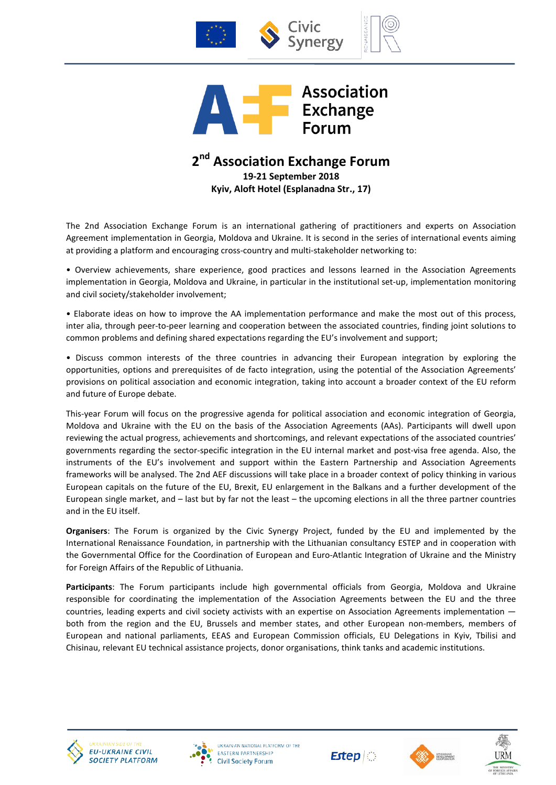



# **2nd Association Exchange Forum 19-21 September 2018 Kyiv, Aloft Hotel (Esplanadna Str., 17)**

The 2nd Association Exchange Forum is an international gathering of practitioners and experts on Association Agreement implementation in Georgia, Moldova and Ukraine. It is second in the series of international events aiming at providing a platform and encouraging cross-country and multi-stakeholder networking to:

• Overview achievements, share experience, good practices and lessons learned in the Association Agreements implementation in Georgia, Moldova and Ukraine, in particular in the institutional set-up, implementation monitoring and civil society/stakeholder involvement;

• Elaborate ideas on how to improve the AA implementation performance and make the most out of this process, inter alia, through peer-to-peer learning and cooperation between the associated countries, finding joint solutions to common problems and defining shared expectations regarding the EU's involvement and support;

• Discuss common interests of the three countries in advancing their European integration by exploring the opportunities, options and prerequisites of de facto integration, using the potential of the Association Agreements' provisions on political association and economic integration, taking into account a broader context of the EU reform and future of Europe debate.

This-year Forum will focus on the progressive agenda for political association and economic integration of Georgia, Moldova and Ukraine with the EU on the basis of the Association Agreements (AAs). Participants will dwell upon reviewing the actual progress, achievements and shortcomings, and relevant expectations of the associated countries' governments regarding the sector-specific integration in the EU internal market and post-visa free agenda. Also, the instruments of the EU's involvement and support within the Eastern Partnership and Association Agreements frameworks will be analysed. The 2nd AEF discussions will take place in a broader context of policy thinking in various European capitals on the future of the EU, Brexit, EU enlargement in the Balkans and a further development of the European single market, and – last but by far not the least – the upcoming elections in all the three partner countries and in the EU itself.

**Organisers**: The Forum is organized by the Civic Synergy Project, funded by the EU and implemented by the International Renaissance Foundation, in partnership with the Lithuanian consultancy ESTEP and in cooperation with the Governmental Office for the Coordination of European and Euro-Atlantic Integration of Ukraine and the Ministry for Foreign Affairs of the Republic of Lithuania.

**Participants**: The Forum participants include high governmental officials from Georgia, Moldova and Ukraine responsible for coordinating the implementation of the Association Agreements between the EU and the three countries, leading experts and civil society activists with an expertise on Association Agreements implementation both from the region and the EU, Brussels and member states, and other European non-members, members of European and national parliaments, EEAS and European Commission officials, EU Delegations in Kyiv, Tbilisi and Chisinau, relevant EU technical assistance projects, donor organisations, think tanks and academic institutions.











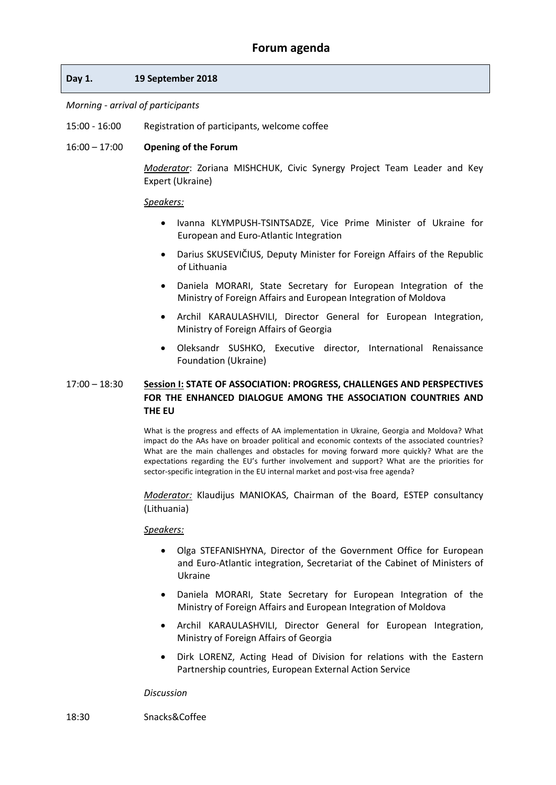### **Day 1. 19 September 2018**

## *Morning - arrival of participants*

15:00 - 16:00 Registration of participants, welcome coffee

### 16:00 – 17:00 **Opening of the Forum**

*Moderator*: Zoriana MISHCHUK, Civic Synergy Project Team Leader and Key Expert (Ukraine)

### *Speakers:*

- Ivanna KLYMPUSH-TSINTSADZE, Vice Prime Minister of Ukraine for European and Euro-Atlantic Integration
- Darius SKUSEVIČIUS, Deputy Minister for Foreign Affairs of the Republic of Lithuania
- Daniela MORARI, State Secretary for European Integration of the Ministry of Foreign Affairs and European Integration of Moldova
- Archil KARAULASHVILI, Director General for European Integration, Ministry of Foreign Affairs of Georgia
- Oleksandr SUSHKO, Executive director, International Renaissance Foundation (Ukraine)

### 17:00 – 18:30 **Session I: STATE OF ASSOCIATION: PROGRESS, CHALLENGES AND PERSPECTIVES FOR THE ENHANCED DIALOGUE AMONG THE ASSOCIATION COUNTRIES AND THE EU**

What is the progress and effects of AA implementation in Ukraine, Georgia and Moldova? What impact do the AAs have on broader political and economic contexts of the associated countries? What are the main challenges and obstacles for moving forward more quickly? What are the expectations regarding the EU's further involvement and support? What are the priorities for sector-specific integration in the EU internal market and post-visa free agenda?

*Moderator:* Klaudijus MANIOKAS, Chairman of the Board, ESTEP consultancy (Lithuania)

### *Speakers:*

- Olga STEFANISHYNA, Director of the Government Office for European and Euro-Atlantic integration, Secretariat of the Cabinet of Ministers of Ukraine
- Daniela MORARI, State Secretary for European Integration of the Ministry of Foreign Affairs and European Integration of Moldova
- Archil KARAULASHVILI, Director General for European Integration, Ministry of Foreign Affairs of Georgia
- Dirk LORENZ, Acting Head of Division for relations with the Eastern Partnership countries, European External Action Service

### *Discussion*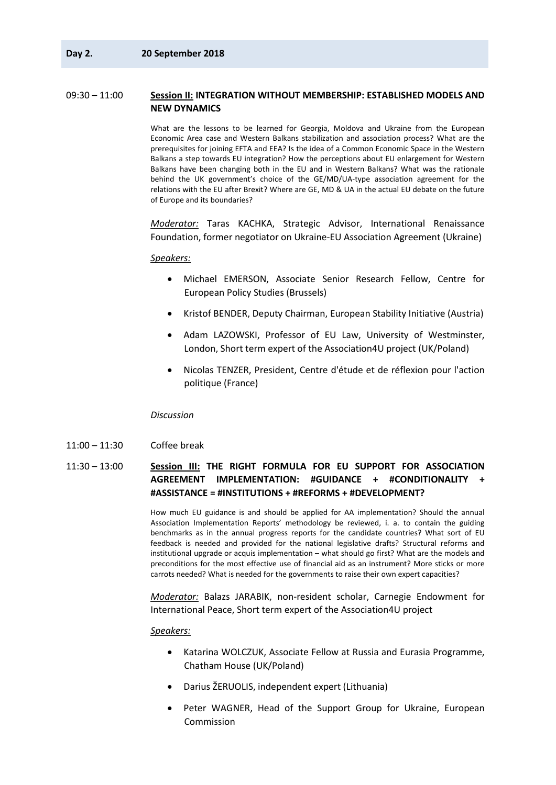### 09:30 – 11:00 **Session II: INTEGRATION WITHOUT MEMBERSHIP: ESTABLISHED MODELS AND NEW DYNAMICS**

What are the lessons to be learned for Georgia, Moldova and Ukraine from the European Economic Area case and Western Balkans stabilization and association process? What are the prerequisites for joining EFTA and EEA? Is the idea of a Common Economic Space in the Western Balkans a step towards EU integration? How the perceptions about EU enlargement for Western Balkans have been changing both in the EU and in Western Balkans? What was the rationale behind the UK government's choice of the GE/MD/UA-type association agreement for the relations with the EU after Brexit? Where are GE, MD & UA in the actual EU debate on the future of Europe and its boundaries?

*Moderator:* Taras KACHKA, Strategic Advisor, International Renaissance Foundation, former negotiator on Ukraine-EU Association Agreement (Ukraine)

#### *Speakers:*

- Michael EMERSON, Associate Senior Research Fellow, Centre for European Policy Studies (Brussels)
- Kristof BENDER, Deputy Chairman, European Stability Initiative (Austria)
- Adam LAZOWSKI, Professor of EU Law, University of Westminster, London, Short term expert of the Association4U project (UK/Poland)
- Nicolas TENZER, President, Centre d'étude et de réflexion pour l'action politique (France)

#### *Discussion*

- 11:00 11:30 Coffee break
- 11:30 13:00 **Session III: THE RIGHT FORMULA FOR EU SUPPORT FOR ASSOCIATION AGREEMENT IMPLEMENTATION: #GUIDANCE + #CONDITIONALITY + #ASSISTANCE = #INSTITUTIONS + #REFORMS + #DEVELOPMENT?**

How much EU guidance is and should be applied for AA implementation? Should the annual Association Implementation Reports' methodology be reviewed, i. a. to contain the guiding benchmarks as in the annual progress reports for the candidate countries? What sort of EU feedback is needed and provided for the national legislative drafts? Structural reforms and institutional upgrade or acquis implementation – what should go first? What are the models and preconditions for the most effective use of financial aid as an instrument? More sticks or more carrots needed? What is needed for the governments to raise their own expert capacities?

*Moderator:* Balazs JARABIK, non-resident scholar, Carnegie Endowment for International Peace, Short term expert of the Association4U project

- Katarina WOLCZUK, Associate Fellow at Russia and Eurasia Programme, Chatham House (UK/Poland)
- Darius ŽERUOLIS, independent expert (Lithuania)
- Peter WAGNER, Head of the Support Group for Ukraine, European Commission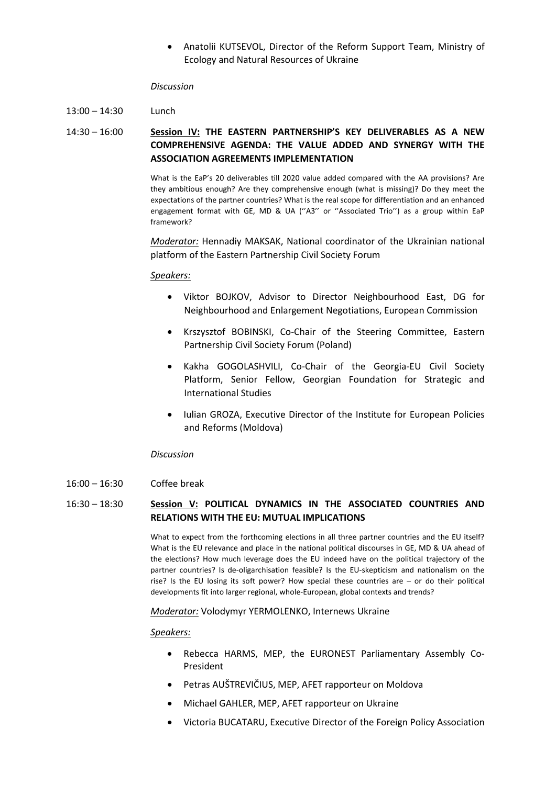• Anatolii KUTSEVOL, Director of the Reform Support Team, Ministry of Ecology and Natural Resources of Ukraine

#### *Discussion*

 $13:00 - 14:30$  Lunch

14:30 – 16:00 **Session IV: THE EASTERN PARTNERSHIP'S KEY DELIVERABLES AS A NEW COMPREHENSIVE AGENDA: THE VALUE ADDED AND SYNERGY WITH THE ASSOCIATION AGREEMENTS IMPLEMENTATION**

> What is the EaP's 20 deliverables till 2020 value added compared with the AA provisions? Are they ambitious enough? Are they comprehensive enough (what is missing)? Do they meet the expectations of the partner countries? What is the real scope for differentiation and an enhanced engagement format with GE, MD & UA (''A3'' or ''Associated Trio'') as a group within EaP framework?

> *Moderator:* Hennadiy MAKSAK, National coordinator of the Ukrainian national platform of the Eastern Partnership Civil Society Forum

### *Speakers:*

- Viktor BOJKOV, Advisor to Director Neighbourhood East, DG for Neighbourhood and Enlargement Negotiations, European Commission
- Krszysztof BOBINSKI, Co-Chair of the Steering Committee, Eastern Partnership Civil Society Forum (Poland)
- Kakha GOGOLASHVILI, Co-Chair of the Georgia-EU Civil Society Platform, Senior Fellow, Georgian Foundation for Strategic and International Studies
- Iulian GROZA, Executive Director of the Institute for European Policies and Reforms (Moldova)

#### *Discussion*

16:00 – 16:30 Coffee break

## 16:30 – 18:30 **Session V: POLITICAL DYNAMICS IN THE ASSOCIATED COUNTRIES AND RELATIONS WITH THE EU: MUTUAL IMPLICATIONS**

What to expect from the forthcoming elections in all three partner countries and the EU itself? What is the EU relevance and place in the national political discourses in GE, MD & UA ahead of the elections? How much leverage does the EU indeed have on the political trajectory of the partner countries? Is de-oligarchisation feasible? Is the EU-skepticism and nationalism on the rise? Is the EU losing its soft power? How special these countries are – or do their political developments fit into larger regional, whole-European, global contexts and trends?

### *Moderator:* Volodymyr YERMOLENKO, Internews Ukraine

- Rebecca HARMS, MEP, the EURONEST Parliamentary Assembly Co-President
- Petras AUŠTREVIČIUS, MEP, AFET rapporteur on Moldova
- Michael GAHLER, MEP, AFET rapporteur on Ukraine
- Victoria BUCATARU, Executive Director of the Foreign Policy Association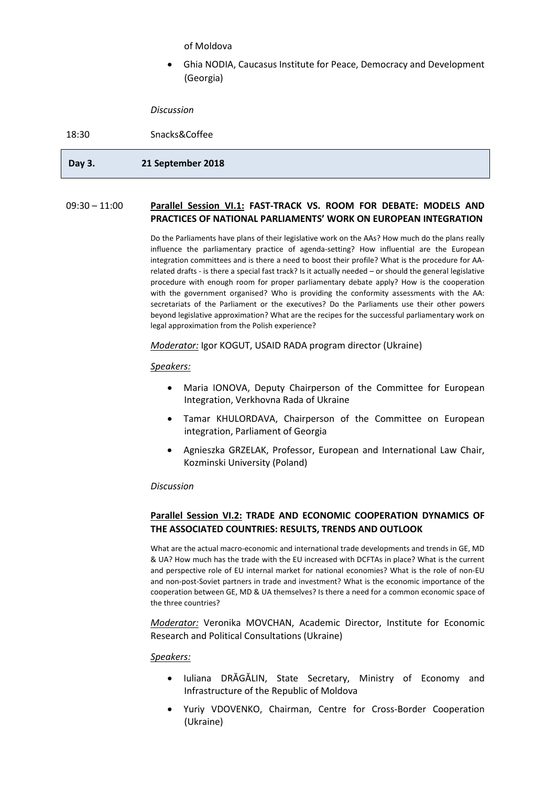of Moldova

• Ghia NODIA, Caucasus Institute for Peace, Democracy and Development (Georgia)

*Discussion*

18:30 Snacks&Coffee

## **Day 3. 21 September 2018**

### 09:30 – 11:00 **Parallel Session VI.1: FAST-TRACK VS. ROOM FOR DEBATE: MODELS AND PRACTICES OF NATIONAL PARLIAMENTS' WORK ON EUROPEAN INTEGRATION**

Do the Parliaments have plans of their legislative work on the AAs? How much do the plans really influence the parliamentary practice of agenda-setting? How influential are the European integration committees and is there a need to boost their profile? What is the procedure for AArelated drafts - is there a special fast track? Is it actually needed – or should the general legislative procedure with enough room for proper parliamentary debate apply? How is the cooperation with the government organised? Who is providing the conformity assessments with the AA: secretariats of the Parliament or the executives? Do the Parliaments use their other powers beyond legislative approximation? What are the recipes for the successful parliamentary work on legal approximation from the Polish experience?

*Moderator:* Igor KOGUT, USAID RADA program director (Ukraine)

### *Speakers:*

- Maria IONOVA, Deputy Chairperson of the Committee for European Integration, Verkhovna Rada of Ukraine
- Tamar KHULORDAVA, Chairperson of the Committee on European integration, Parliament of Georgia
- Agnieszka GRZELAK, Professor, European and International Law Chair, Kozminski University (Poland)

### *Discussion*

## **Parallel Session VI.2: TRADE AND ECONOMIC COOPERATION DYNAMICS OF THE ASSOCIATED COUNTRIES: RESULTS, TRENDS AND OUTLOOK**

What are the actual macro-economic and international trade developments and trends in GE, MD & UA? How much has the trade with the EU increased with DCFTAs in place? What is the current and perspective role of EU internal market for national economies? What is the role of non-EU and non-post-Soviet partners in trade and investment? What is the economic importance of the cooperation between GE, MD & UA themselves? Is there a need for a common economic space of the three countries?

*Moderator:* Veronika MOVCHAN, Academic Director, Institute for Economic Research and Political Consultations (Ukraine)

- Iuliana DRĂGĂLIN, State Secretary, Ministry of Economy and Infrastructure of the Republic of Moldova
- Yuriy VDOVENKO, Chairman, Centre for Cross-Border Cooperation (Ukraine)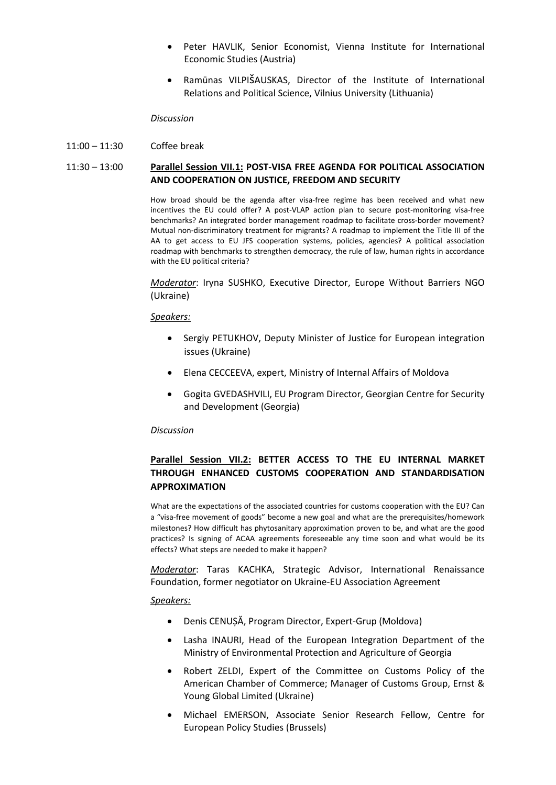- Peter HAVLIK, Senior Economist, Vienna Institute for International Economic Studies (Austria)
- Ramūnas VILPIšAUSKAS, Director of the Institute of International Relations and Political Science, Vilnius University (Lithuania)

#### *Discussion*

11:00 – 11:30 Coffee break

### 11:30 – 13:00 **Parallel Session VII.1: POST-VISA FREE AGENDA FOR POLITICAL ASSOCIATION AND COOPERATION ON JUSTICE, FREEDOM AND SECURITY**

How broad should be the agenda after visa-free regime has been received and what new incentives the EU could offer? A post-VLAP action plan to secure post-monitoring visa-free benchmarks? An integrated border management roadmap to facilitate cross-border movement? Mutual non-discriminatory treatment for migrants? A roadmap to implement the Title III of the AA to get access to EU JFS cooperation systems, policies, agencies? A political association roadmap with benchmarks to strengthen democracy, the rule of law, human rights in accordance with the EU political criteria?

*Moderator*: Iryna SUSHKO, Executive Director, Europe Without Barriers NGO (Ukraine)

#### *Speakers:*

- Sergiy PETUKHOV, Deputy Minister of Justice for European integration issues (Ukraine)
- Elena CECCEEVA, expert, Ministry of Internal Affairs of Moldova
- Gogita GVEDASHVILI, EU Program Director, Georgian Centre for Security and Development (Georgia)

#### *Discussion*

## **Parallel Session VII.2: BETTER ACCESS TO THE EU INTERNAL MARKET THROUGH ENHANCED CUSTOMS COOPERATION AND STANDARDISATION APPROXIMATION**

What are the expectations of the associated countries for customs cooperation with the EU? Can a "visa-free movement of goods" become a new goal and what are the prerequisites/homework milestones? How difficult has phytosanitary approximation proven to be, and what are the good practices? Is signing of ACAA agreements foreseeable any time soon and what would be its effects? What steps are needed to make it happen?

*Moderator*: Taras KACHKA, Strategic Advisor, International Renaissance Foundation, former negotiator on Ukraine-EU Association Agreement

- Denis CENUȘĂ, Program Director, Expert-Grup (Moldova)
- Lasha INAURI, Head of the European Integration Department of the Ministry of Environmental Protection and Agriculture of Georgia
- Robert ZELDI, Expert of the Committee on Customs Policy of the American Chamber of Commerce; Manager of Customs Group, Ernst & Young Global Limited (Ukraine)
- Michael EMERSON, Associate Senior Research Fellow, Centre for European Policy Studies (Brussels)